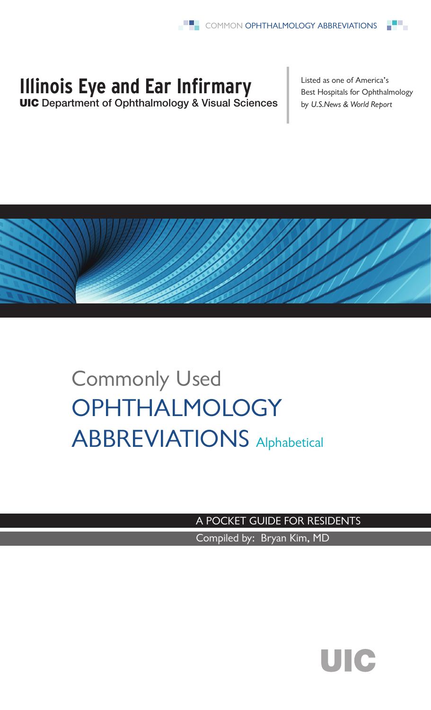## **Illinois Eye and Ear Infirmary**

UIC Department of Ophthalmology & Visual Sciences

Listed as one of America's Best Hospitals for Ophthalmology by *U.S.News & World Report*



## Commonly Used **OPHTHALMOLOGY** ABBREVIATIONS Alphabetical

A POCKET GUIDE FOR RESIDENTS

Compiled by: Bryan Kim, MD

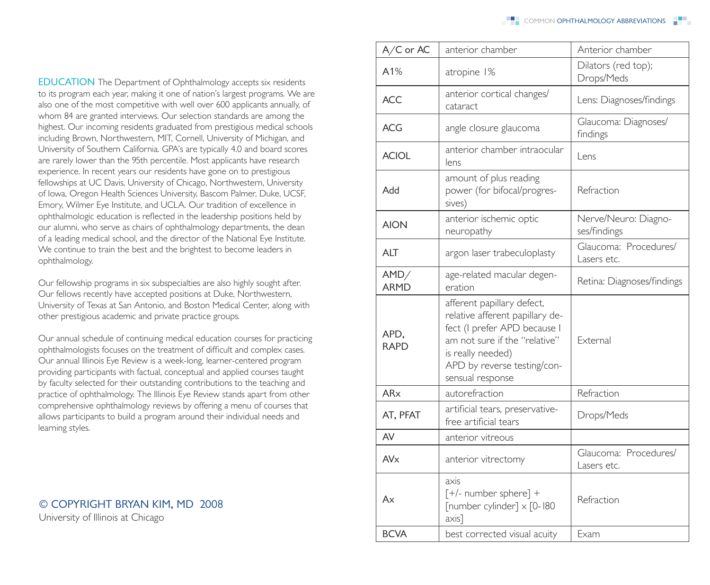**EDUCATION** The Department of Ophthalmology accepts six residents to its program each year, making it one of nation's largest programs. We are also one of the most competitive with well over 600 applicants annually, of whom 84 are granted interviews. Our selection standards are among the highest. Our incoming residents graduated from prestigious medical schools including Brown, Northwestern, MIT, Cornell, University of Michigan, and University of Southern California. GPA's are typically 4.0 and board scores are rarely lower than the 95th percentile. Most applicants have research experience. In recent years our residents have gone on to prestigious fellowships at UC Davis, University of Chicago, Northwestern, University of Iowa, Oregon Health Sciences University, Bascom Palmer, Duke, UCSF, Emory, Wilmer Eye Institute, and UCLA. Our tradition of excellence in ophthalmologic education is reflected in the leadership positions held by our alumni, who serve as chairs of ophthalmology departments, the dean of a leading medical school, and the director of the National Eye Institute. We continue to train the best and the brightest to become leaders in ophthalmology.

Our fellowship programs in six subspecialties are also highly sought after. Our fellows recently have accepted positions at Duke, Northwestern, University of Texas at San Antonio, and Boston Medical Center, along with other prestigious academic and private practice groups.

Our annual schedule of continuing medical education courses for practicing ophthalmologists focuses on the treatment of difficult and complex cases. Our annual Illinois Eye Review is a week-long, learner-centered program providing participants with factual, conceptual and applied courses taught by faculty selected for their outstanding contributions to the teaching and practice of ophthalmology. The Illinois Eye Review stands apart from other comprehensive ophthalmology reviews by offering a menu of courses that allows participants to build a program around their individual needs and learning styles.

## © COPYRIGHT BRYAN KIM, md 2008

University of Illinois at Chicago

| A/C or AC           | anterior chamber                                                                                                                                                                                       | Anterior chamber                     |
|---------------------|--------------------------------------------------------------------------------------------------------------------------------------------------------------------------------------------------------|--------------------------------------|
| A1%                 | atropine 1%                                                                                                                                                                                            | Dilators (red top);<br>Drops/Meds    |
| ACC                 | anterior cortical changes/<br>cataract                                                                                                                                                                 | Lens: Diagnoses/findings             |
| ACG                 | angle closure glaucoma                                                                                                                                                                                 | Glaucoma: Diagnoses/<br>findings     |
| <b>ACIOL</b>        | anterior chamber intraocular<br>lens                                                                                                                                                                   | Lens                                 |
| Add                 | amount of plus reading<br>power (for bifocal/progres-<br>sives)                                                                                                                                        | Refraction                           |
| <b>AION</b>         | anterior ischemic optic<br>neuropathy                                                                                                                                                                  | Nerve/Neuro: Diagno-<br>ses/findings |
| ALT                 | argon laser trabeculoplasty                                                                                                                                                                            | Glaucoma: Procedures/<br>Lasers etc. |
| AMD/<br><b>ARMD</b> | age-related macular degen-<br>eration                                                                                                                                                                  | Retina: Diagnoses/findings           |
| APD,<br><b>RAPD</b> | afferent papillary defect,<br>relative afferent papillary de-<br>fect (I prefer APD because I<br>am not sure if the "relative"<br>is really needed)<br>APD by reverse testing/con-<br>sensual response | Fxternal                             |
| AR <sub>x</sub>     | autorefraction                                                                                                                                                                                         | Refraction                           |
| AT, PFAT            | artificial tears, preservative-<br>free artificial tears                                                                                                                                               | Drops/Meds                           |
| AV                  | anterior vitreous                                                                                                                                                                                      |                                      |
| AVx                 | anterior vitrectomy                                                                                                                                                                                    | Glaucoma: Procedures/<br>Lasers etc. |
| Ax                  | axis<br>$[+/$ - number sphere] +<br>[number cylinder] x [0-180<br>$axis$ ]                                                                                                                             | Refraction                           |
| <b>BCVA</b>         | best corrected visual acuity                                                                                                                                                                           | Exam                                 |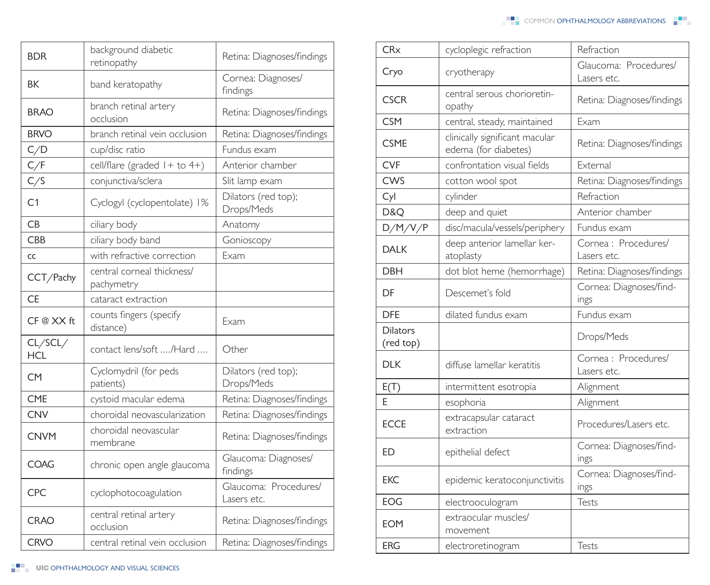| <b>BDR</b>            | background diabetic<br>retinopathy       | Retina: Diagnoses/findings           |
|-----------------------|------------------------------------------|--------------------------------------|
| BK                    | band keratopathy                         | Cornea: Diagnoses/<br>findings       |
| <b>BRAO</b>           | branch retinal artery<br>occlusion       | Retina: Diagnoses/findings           |
| <b>BRVO</b>           | branch retinal vein occlusion            | Retina: Diagnoses/findings           |
| C/D                   | cup/disc ratio                           | Fundus exam                          |
| C/F                   | cell/flare (graded $1 +$ to $4+)$        | Anterior chamber                     |
| C/S                   | conjunctiva/sclera                       | Slit lamp exam                       |
| C1                    | Cyclogyl (cyclopentolate) 1%             | Dilators (red top);<br>Drops/Meds    |
| CB                    | ciliary body                             | Anatomy                              |
| <b>CBB</b>            | ciliary body band                        | Gonioscopy                           |
| CC                    | with refractive correction               | Exam                                 |
| CCT/Pachy             | central corneal thickness/<br>pachymetry |                                      |
| <b>CE</b>             | cataract extraction                      |                                      |
| CF @ XX ft            | counts fingers (specify<br>distance)     | Exam                                 |
| CL/SCL/<br><b>HCL</b> | contact lens/soft /Hard                  | Other                                |
| CM                    | Cyclomydril (for peds<br>patients)       | Dilators (red top);<br>Drops/Meds    |
| <b>CME</b>            | cystoid macular edema                    | Retina: Diagnoses/findings           |
| <b>CNV</b>            | choroidal neovascularization             | Retina: Diagnoses/findings           |
| <b>CNVM</b>           | choroidal neovascular<br>membrane        | Retina: Diagnoses/findings           |
| COAG                  | chronic open angle glaucoma              | Glaucoma: Diagnoses/<br>findings     |
| <b>CPC</b>            | cyclophotocoagulation                    | Glaucoma: Procedures/<br>Lasers etc. |
| <b>CRAO</b>           | central retinal artery<br>occlusion      | Retina: Diagnoses/findings           |
| CRVO                  | central retinal vein occlusion           | Retina: Diagnoses/findings           |

| Glaucoma: Procedures/<br>Cryo<br>cryotherapy<br>Lasers etc.<br>central serous chorioretin-<br><b>CSCR</b><br>Retina: Diagnoses/findings<br>opathy<br><b>CSM</b><br>Exam<br>central, steady, maintained<br>clinically significant macular<br><b>CSME</b><br>Retina: Diagnoses/findings<br>edema (for diabetes)<br><b>CVF</b><br>confrontation visual fields<br>External<br><b>CWS</b><br>Retina: Diagnoses/findings<br>cotton wool spot<br>Refraction<br>Cyl<br>cylinder<br>D&Q<br>Anterior chamber<br>deep and quiet<br>D/M/V/P<br>disc/macula/vessels/periphery<br>Fundus exam<br>deep anterior lamellar ker-<br>Cornea: Procedures/<br><b>DALK</b><br>atoplasty<br>Lasers etc.<br>dot blot heme (hemorrhage)<br>Retina: Diagnoses/findings<br>DBH<br>Cornea: Diagnoses/find-<br>Descemet's fold<br>DF<br>ings<br><b>DFE</b><br>dilated fundus exam<br>Fundus exam<br><b>Dilators</b><br>Drops/Meds<br>(red top)<br>Cornea: Procedures/<br><b>DLK</b><br>diffuse lamellar keratitis<br>Lasers etc.<br>E(T)<br>intermittent esotropia<br>Alignment<br>F<br>Alignment<br>esophoria<br>extracapsular cataract<br>Procedures/Lasers etc.<br><b>ECCE</b><br>extraction<br>Cornea: Diagnoses/find-<br>ED<br>epithelial defect<br>ings<br>Cornea: Diagnoses/find-<br><b>EKC</b><br>epidemic keratoconjunctivitis<br>ings<br>Tests<br>EOG<br>electrooculogram<br>extraocular muscles/<br><b>EOM</b><br>movement<br><b>ERG</b><br>Tests<br>electroretinogram | CRx | cycloplegic refraction | Refraction |
|------------------------------------------------------------------------------------------------------------------------------------------------------------------------------------------------------------------------------------------------------------------------------------------------------------------------------------------------------------------------------------------------------------------------------------------------------------------------------------------------------------------------------------------------------------------------------------------------------------------------------------------------------------------------------------------------------------------------------------------------------------------------------------------------------------------------------------------------------------------------------------------------------------------------------------------------------------------------------------------------------------------------------------------------------------------------------------------------------------------------------------------------------------------------------------------------------------------------------------------------------------------------------------------------------------------------------------------------------------------------------------------------------------------------------------------------------|-----|------------------------|------------|
|                                                                                                                                                                                                                                                                                                                                                                                                                                                                                                                                                                                                                                                                                                                                                                                                                                                                                                                                                                                                                                                                                                                                                                                                                                                                                                                                                                                                                                                      |     |                        |            |
|                                                                                                                                                                                                                                                                                                                                                                                                                                                                                                                                                                                                                                                                                                                                                                                                                                                                                                                                                                                                                                                                                                                                                                                                                                                                                                                                                                                                                                                      |     |                        |            |
|                                                                                                                                                                                                                                                                                                                                                                                                                                                                                                                                                                                                                                                                                                                                                                                                                                                                                                                                                                                                                                                                                                                                                                                                                                                                                                                                                                                                                                                      |     |                        |            |
|                                                                                                                                                                                                                                                                                                                                                                                                                                                                                                                                                                                                                                                                                                                                                                                                                                                                                                                                                                                                                                                                                                                                                                                                                                                                                                                                                                                                                                                      |     |                        |            |
|                                                                                                                                                                                                                                                                                                                                                                                                                                                                                                                                                                                                                                                                                                                                                                                                                                                                                                                                                                                                                                                                                                                                                                                                                                                                                                                                                                                                                                                      |     |                        |            |
|                                                                                                                                                                                                                                                                                                                                                                                                                                                                                                                                                                                                                                                                                                                                                                                                                                                                                                                                                                                                                                                                                                                                                                                                                                                                                                                                                                                                                                                      |     |                        |            |
|                                                                                                                                                                                                                                                                                                                                                                                                                                                                                                                                                                                                                                                                                                                                                                                                                                                                                                                                                                                                                                                                                                                                                                                                                                                                                                                                                                                                                                                      |     |                        |            |
|                                                                                                                                                                                                                                                                                                                                                                                                                                                                                                                                                                                                                                                                                                                                                                                                                                                                                                                                                                                                                                                                                                                                                                                                                                                                                                                                                                                                                                                      |     |                        |            |
|                                                                                                                                                                                                                                                                                                                                                                                                                                                                                                                                                                                                                                                                                                                                                                                                                                                                                                                                                                                                                                                                                                                                                                                                                                                                                                                                                                                                                                                      |     |                        |            |
|                                                                                                                                                                                                                                                                                                                                                                                                                                                                                                                                                                                                                                                                                                                                                                                                                                                                                                                                                                                                                                                                                                                                                                                                                                                                                                                                                                                                                                                      |     |                        |            |
|                                                                                                                                                                                                                                                                                                                                                                                                                                                                                                                                                                                                                                                                                                                                                                                                                                                                                                                                                                                                                                                                                                                                                                                                                                                                                                                                                                                                                                                      |     |                        |            |
|                                                                                                                                                                                                                                                                                                                                                                                                                                                                                                                                                                                                                                                                                                                                                                                                                                                                                                                                                                                                                                                                                                                                                                                                                                                                                                                                                                                                                                                      |     |                        |            |
|                                                                                                                                                                                                                                                                                                                                                                                                                                                                                                                                                                                                                                                                                                                                                                                                                                                                                                                                                                                                                                                                                                                                                                                                                                                                                                                                                                                                                                                      |     |                        |            |
|                                                                                                                                                                                                                                                                                                                                                                                                                                                                                                                                                                                                                                                                                                                                                                                                                                                                                                                                                                                                                                                                                                                                                                                                                                                                                                                                                                                                                                                      |     |                        |            |
|                                                                                                                                                                                                                                                                                                                                                                                                                                                                                                                                                                                                                                                                                                                                                                                                                                                                                                                                                                                                                                                                                                                                                                                                                                                                                                                                                                                                                                                      |     |                        |            |
|                                                                                                                                                                                                                                                                                                                                                                                                                                                                                                                                                                                                                                                                                                                                                                                                                                                                                                                                                                                                                                                                                                                                                                                                                                                                                                                                                                                                                                                      |     |                        |            |
|                                                                                                                                                                                                                                                                                                                                                                                                                                                                                                                                                                                                                                                                                                                                                                                                                                                                                                                                                                                                                                                                                                                                                                                                                                                                                                                                                                                                                                                      |     |                        |            |
|                                                                                                                                                                                                                                                                                                                                                                                                                                                                                                                                                                                                                                                                                                                                                                                                                                                                                                                                                                                                                                                                                                                                                                                                                                                                                                                                                                                                                                                      |     |                        |            |
|                                                                                                                                                                                                                                                                                                                                                                                                                                                                                                                                                                                                                                                                                                                                                                                                                                                                                                                                                                                                                                                                                                                                                                                                                                                                                                                                                                                                                                                      |     |                        |            |
|                                                                                                                                                                                                                                                                                                                                                                                                                                                                                                                                                                                                                                                                                                                                                                                                                                                                                                                                                                                                                                                                                                                                                                                                                                                                                                                                                                                                                                                      |     |                        |            |
|                                                                                                                                                                                                                                                                                                                                                                                                                                                                                                                                                                                                                                                                                                                                                                                                                                                                                                                                                                                                                                                                                                                                                                                                                                                                                                                                                                                                                                                      |     |                        |            |
|                                                                                                                                                                                                                                                                                                                                                                                                                                                                                                                                                                                                                                                                                                                                                                                                                                                                                                                                                                                                                                                                                                                                                                                                                                                                                                                                                                                                                                                      |     |                        |            |
|                                                                                                                                                                                                                                                                                                                                                                                                                                                                                                                                                                                                                                                                                                                                                                                                                                                                                                                                                                                                                                                                                                                                                                                                                                                                                                                                                                                                                                                      |     |                        |            |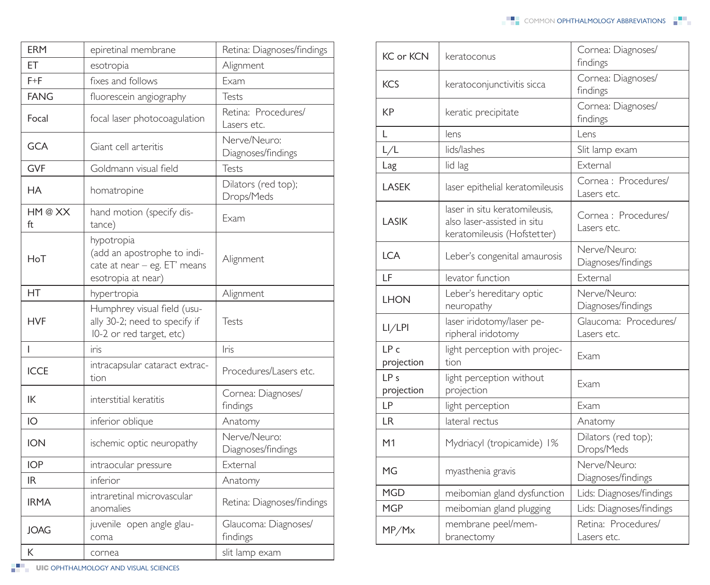| <b>ERM</b>    | epiretinal membrane                                                                             | Retina: Diagnoses/findings         |
|---------------|-------------------------------------------------------------------------------------------------|------------------------------------|
| ET            | esotropia                                                                                       | Alignment                          |
| $F + F$       | fixes and follows                                                                               | Exam                               |
| <b>FANG</b>   | fluorescein angiography                                                                         | Tests                              |
| Focal         | focal laser photocoagulation                                                                    | Retina: Procedures/<br>Lasers etc. |
| <b>GCA</b>    | Giant cell arteritis                                                                            | Nerve/Neuro:<br>Diagnoses/findings |
| <b>GVF</b>    | Goldmann visual field                                                                           | Tests                              |
| НA            | homatropine                                                                                     | Dilators (red top);<br>Drops/Meds  |
| HM @ XX<br>ft | hand motion (specify dis-<br>tance)                                                             | Exam                               |
| HoT           | hypotropia<br>(add an apostrophe to indi-<br>cate at near - eg. ET' means<br>esotropia at near) | Alignment                          |
| НT            | hypertropia                                                                                     | Alignment                          |
| <b>HVF</b>    | Humphrey visual field (usu-<br>ally 30-2; need to specify if<br>I0-2 or red target, etc)        | Tests                              |
| L             | iris                                                                                            | Iris                               |
| <b>ICCE</b>   | intracapsular cataract extrac-<br>tion                                                          | Procedures/Lasers etc.             |
| IK            | interstitial keratitis                                                                          | Cornea: Diagnoses/<br>findings     |
| IO            | inferior oblique                                                                                | Anatomy                            |
| <b>ION</b>    | ischemic optic neuropathy                                                                       | Nerve/Neuro:<br>Diagnoses/findings |
| <b>IOP</b>    | intraocular pressure                                                                            | External                           |
| IR.           | inferior                                                                                        | Anatomy                            |
| <b>IRMA</b>   | intraretinal microvascular<br>anomalies                                                         | Retina: Diagnoses/findings         |
| JOAG          | juvenile open angle glau-<br>coma                                                               | Glaucoma: Diagnoses/<br>findings   |
| К             | cornea                                                                                          | slit lamp exam                     |

| <b>KC</b> or <b>KCN</b> | keratoconus                                                                                 | Cornea: Diagnoses/<br>findings       |
|-------------------------|---------------------------------------------------------------------------------------------|--------------------------------------|
| <b>KCS</b>              | keratoconjunctivitis sicca                                                                  | Cornea: Diagnoses/<br>findings       |
| KP                      | keratic precipitate                                                                         | Cornea: Diagnoses/<br>findings       |
| L                       | lens                                                                                        | Lens                                 |
| L/L                     | lids/lashes                                                                                 | Slit lamp exam                       |
| Lag                     | lid lag                                                                                     | External                             |
| LASEK                   | laser epithelial keratomileusis                                                             | Cornea: Procedures/<br>Lasers etc.   |
| LASIK                   | laser in situ keratomileusis.<br>also laser-assisted in situ<br>keratomileusis (Hofstetter) | Cornea : Procedures/<br>Lasers etc.  |
| <b>LCA</b>              | Leber's congenital amaurosis                                                                | Nerve/Neuro:<br>Diagnoses/findings   |
| LF                      | levator function                                                                            | External                             |
| <b>LHON</b>             | Leber's hereditary optic<br>neuropathy                                                      | Nerve/Neuro:<br>Diagnoses/findings   |
| LI/LPI                  | laser iridotomy/laser pe-<br>ripheral iridotomy                                             | Glaucoma: Procedures/<br>Lasers etc. |
| IPc<br>projection       | light perception with projec-<br>tion                                                       | Exam                                 |
| IPs<br>projection       | light perception without<br>projection                                                      | Exam                                 |
| <b>LP</b>               | light perception                                                                            | Exam                                 |
| LR                      | lateral rectus                                                                              | Anatomy                              |
| M1                      | Mydriacyl (tropicamide) 1%                                                                  | Dilators (red top);<br>Drops/Meds    |
| MG                      | myasthenia gravis                                                                           | Nerve/Neuro:<br>Diagnoses/findings   |
| <b>MGD</b>              | meibomian gland dysfunction                                                                 | Lids: Diagnoses/findings             |
| <b>MGP</b>              | meibomian gland plugging                                                                    | Lids: Diagnoses/findings             |
| MP/Mx                   | membrane peel/mem-<br>branectomy                                                            | Retina: Procedures/<br>Lasers etc.   |

**UIC OPHTHALMOLOGY AND VISUAL SCIENCES**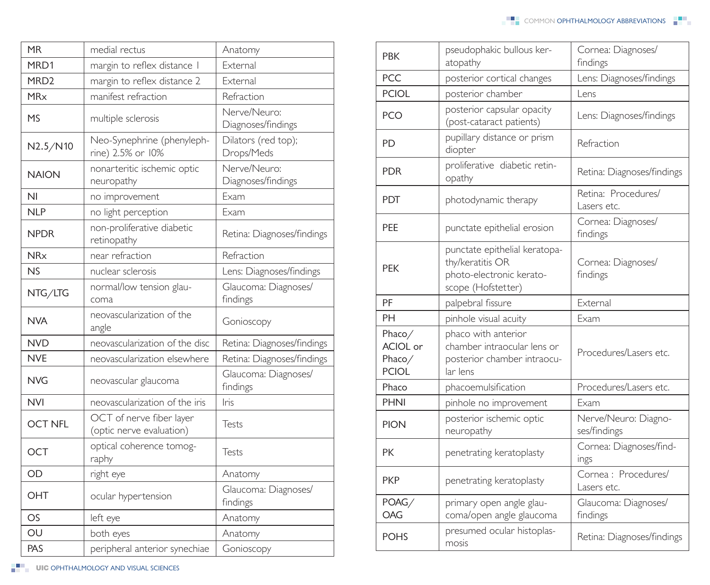| <b>MR</b>             | medial rectus                                        | Anatomy                            |
|-----------------------|------------------------------------------------------|------------------------------------|
| MRD1                  | margin to reflex distance I                          | External                           |
| MRD <sub>2</sub>      | margin to reflex distance 2                          | External                           |
| <b>MR<sub>x</sub></b> | manifest refraction                                  | Refraction                         |
| MS                    | multiple sclerosis                                   | Nerve/Neuro:<br>Diagnoses/findings |
| N2.5/N10              | Neo-Synephrine (phenyleph-<br>rine) 2.5% or 10%      | Dilators (red top);<br>Drops/Meds  |
| <b>NAION</b>          | nonarteritic ischemic optic<br>neuropathy            | Nerve/Neuro:<br>Diagnoses/findings |
| N <sub>l</sub>        | no improvement                                       | Exam                               |
| <b>NLP</b>            | no light perception                                  | Exam                               |
| <b>NPDR</b>           | non-proliferative diabetic<br>retinopathy            | Retina: Diagnoses/findings         |
| <b>NR<sub>x</sub></b> | near refraction                                      | Refraction                         |
| N <sub>S</sub>        | nuclear sclerosis                                    | Lens: Diagnoses/findings           |
| NTG/LTG               | normal/low tension glau-<br>coma                     | Glaucoma: Diagnoses/<br>findings   |
| <b>NVA</b>            | neovascularization of the<br>angle                   | Gonioscopy                         |
| <b>NVD</b>            | neovascularization of the disc                       | Retina: Diagnoses/findings         |
| <b>NVE</b>            | neovascularization elsewhere                         | Retina: Diagnoses/findings         |
| <b>NVG</b>            | neovascular glaucoma                                 | Glaucoma: Diagnoses/<br>findings   |
| <b>NVI</b>            | neovascularization of the iris                       | Iris                               |
| <b>OCT NFL</b>        | OCT of nerve fiber layer<br>(optic nerve evaluation) | Tests                              |
| OCT                   | optical coherence tomog-<br>raphy                    | Tests                              |
| OD                    | right eye                                            | Anatomy                            |
| OHT                   | ocular hypertension                                  | Glaucoma: Diagnoses/<br>findings   |
| OS                    | left eye                                             | Anatomy                            |
| OU                    | both eyes                                            | Anatomy                            |
| PAS                   | peripheral anterior synechiae                        | Gonioscopy                         |

| <b>PBK</b>                                   | pseudophakic bullous ker-<br>atopathy                                                               | Cornea: Diagnoses/<br>findings       |
|----------------------------------------------|-----------------------------------------------------------------------------------------------------|--------------------------------------|
| PCC                                          | posterior cortical changes                                                                          | Lens: Diagnoses/findings             |
| <b>PCIOL</b>                                 | posterior chamber                                                                                   | Lens                                 |
| <b>PCO</b>                                   | posterior capsular opacity<br>(post-cataract patients)                                              | Lens: Diagnoses/findings             |
| PD                                           | pupillary distance or prism<br>diopter                                                              | Refraction                           |
| <b>PDR</b>                                   | proliferative diabetic retin-<br>opathy                                                             | Retina: Diagnoses/findings           |
| PDT                                          | photodynamic therapy                                                                                | Retina: Procedures/<br>Lasers etc.   |
| <b>PEE</b>                                   | punctate epithelial erosion                                                                         | Cornea: Diagnoses/<br>findings       |
| <b>PEK</b>                                   | punctate epithelial keratopa-<br>thy/keratitis OR<br>photo-electronic kerato-<br>scope (Hofstetter) | Cornea: Diagnoses/<br>findings       |
| PF                                           | palpebral fissure                                                                                   | External                             |
| PH                                           | pinhole visual acuity                                                                               | Exam                                 |
| Phaco/<br>ACIOL or<br>Phaco/<br><b>PCIOL</b> | phaco with anterior<br>chamber intraocular lens or<br>posterior chamber intraocu-<br>lar lens       | Procedures/Lasers etc.               |
| Phaco                                        | phacoemulsification                                                                                 | Procedures/Lasers etc.               |
| <b>PHNI</b>                                  | pinhole no improvement                                                                              | Exam                                 |
| <b>PION</b>                                  | posterior ischemic optic<br>neuropathy                                                              | Nerve/Neuro: Diagno-<br>ses/findings |
| PК                                           | penetrating keratoplasty                                                                            | Cornea: Diagnoses/find-<br>ings      |
| <b>PKP</b>                                   | penetrating keratoplasty                                                                            | Cornea: Procedures/<br>Lasers etc.   |
| POAG/<br>OAG                                 | primary open angle glau-<br>coma/open angle glaucoma                                                | Glaucoma: Diagnoses/<br>findings     |
| <b>POHS</b>                                  | presumed ocular histoplas-<br>mosis                                                                 | Retina: Diagnoses/findings           |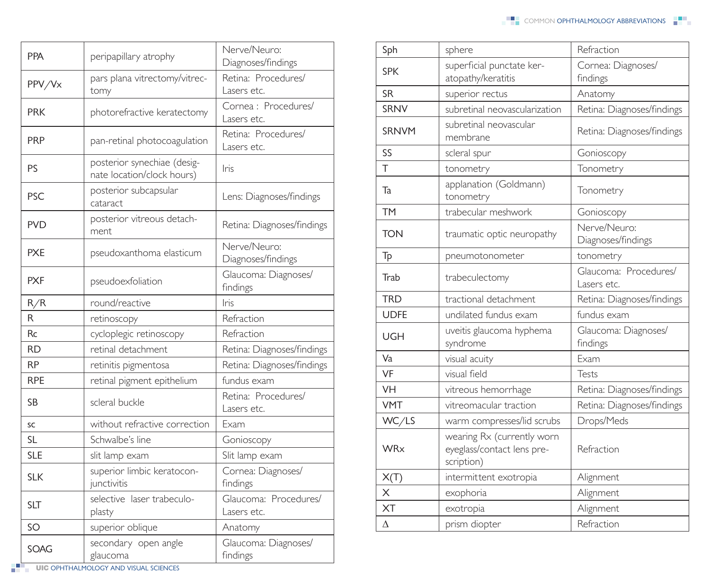| <b>PPA</b> | peripapillary atrophy                                     | Nerve/Neuro:<br>Diagnoses/findings   |
|------------|-----------------------------------------------------------|--------------------------------------|
| PPV/Vx     | pars plana vitrectomy/vitrec-<br>tomy                     | Retina: Procedures/<br>Lasers etc.   |
| <b>PRK</b> | photorefractive keratectomy                               | Cornea : Procedures/<br>Lasers etc.  |
| <b>PRP</b> | pan-retinal photocoagulation                              | Retina: Procedures/<br>Lasers etc.   |
| PS         | posterior synechiae (desig-<br>nate location/clock hours) | Iris                                 |
| <b>PSC</b> | posterior subcapsular<br>cataract                         | Lens: Diagnoses/findings             |
| <b>PVD</b> | posterior vitreous detach-<br>ment                        | Retina: Diagnoses/findings           |
| <b>PXE</b> | pseudoxanthoma elasticum                                  | Nerve/Neuro:<br>Diagnoses/findings   |
| <b>PXF</b> | pseudoexfoliation                                         | Glaucoma: Diagnoses/<br>findings     |
| R/R        | round/reactive                                            | Iris                                 |
| R          | retinoscopy                                               | Refraction                           |
| Rc         | cycloplegic retinoscopy                                   | Refraction                           |
| RD         | retinal detachment                                        | Retina: Diagnoses/findings           |
| <b>RP</b>  | retinitis pigmentosa                                      | Retina: Diagnoses/findings           |
| <b>RPE</b> | retinal pigment epithelium                                | fundus exam                          |
| SB         | scleral buckle                                            | Retina: Procedures/<br>Lasers etc.   |
| SC         | without refractive correction                             | Exam                                 |
| SL         | Schwalbe's line                                           | Gonioscopy                           |
| <b>SLE</b> | slit lamp exam                                            | Slit lamp exam                       |
| <b>SLK</b> | superior limbic keratocon-<br>junctivitis                 | Cornea: Diagnoses/<br>findings       |
| <b>SLT</b> | selective laser trabeculo-<br>plasty                      | Glaucoma: Procedures/<br>Lasers etc. |
| SO         | superior oblique                                          | Anatomy                              |
| SOAG       | secondary open angle<br>glaucoma                          | Glaucoma: Diagnoses/<br>findings     |

| Sph          | sphere                                                                 | Refraction                           |
|--------------|------------------------------------------------------------------------|--------------------------------------|
| <b>SPK</b>   | superficial punctate ker-<br>atopathy/keratitis                        | Cornea: Diagnoses/<br>findings       |
| <b>SR</b>    | superior rectus                                                        | Anatomy                              |
| <b>SRNV</b>  | subretinal neovascularization                                          | Retina: Diagnoses/findings           |
| <b>SRNVM</b> | subretinal neovascular<br>membrane                                     | Retina: Diagnoses/findings           |
| SS           | scleral spur                                                           | Gonioscopy                           |
| $\top$       | tonometry                                                              | Tonometry                            |
| Ta           | applanation (Goldmann)<br>tonometry                                    | Tonometry                            |
| <b>TM</b>    | trabecular meshwork                                                    | Gonioscopy                           |
| <b>TON</b>   | traumatic optic neuropathy                                             | Nerve/Neuro:<br>Diagnoses/findings   |
| Tp           | pneumotonometer                                                        | tonometry                            |
| Trab         | trabeculectomy                                                         | Glaucoma: Procedures/<br>Lasers etc. |
| <b>TRD</b>   | tractional detachment                                                  | Retina: Diagnoses/findings           |
| <b>UDFE</b>  | undilated fundus exam                                                  | fundus exam                          |
| UGH          | uveitis glaucoma hyphema<br>syndrome                                   | Glaucoma: Diagnoses/<br>findings     |
| Va           | visual acuity                                                          | Exam                                 |
| VF           | visual field                                                           | Tests                                |
| <b>VH</b>    | vitreous hemorrhage                                                    | Retina: Diagnoses/findings           |
| <b>VMT</b>   | vitreomacular traction                                                 | Retina: Diagnoses/findings           |
| WC/LS        | warm compresses/lid scrubs                                             | Drops/Meds                           |
| <b>WRx</b>   | wearing Rx (currently worn<br>eyeglass/contact lens pre-<br>scription) | Refraction                           |
| X(T)         | intermittent exotropia                                                 | Alignment                            |
| $\times$     | exophoria                                                              | Alignment                            |
| <b>XT</b>    | exotropia                                                              | Alignment                            |
| Δ            | prism diopter                                                          | Refraction                           |

**UIC OPHTHALMOLOGY AND VISUAL SCIENCES**